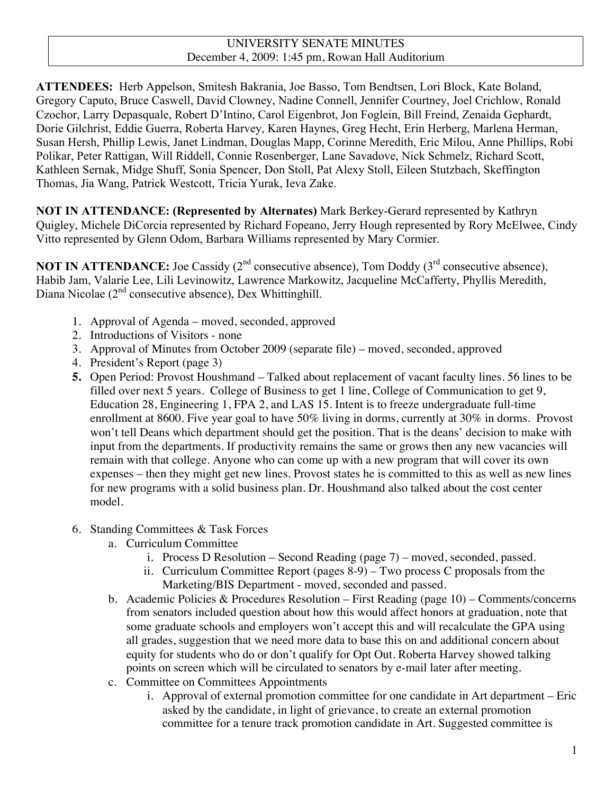#### UNIVERSITY SENATE MINUTES December 4, 2009: 1:45 pm, Rowan Hall Auditorium

**ATTENDEES:** Herb Appelson, Smitesh Bakrania, Joe Basso, Tom Bendtsen, Lori Block, Kate Boland, Gregory Caputo, Bruce Caswell, David Clowney, Nadine Connell, Jennifer Courtney, Joel Crichlow, Ronald Czochor, Larry Depasquale, Robert D'Intino, Carol Eigenbrot, Jon Foglein, Bill Freind, Zenaida Gephardt, Dorie Gilchrist, Eddie Guerra, Roberta Harvey, Karen Haynes, Greg Hecht, Erin Herberg, Marlena Herman, Susan Hersh, Phillip Lewis, Janet Lindman, Douglas Mapp, Corinne Meredith, Eric Milou, Anne Phillips, Robi Polikar, Peter Rattigan, Will Riddell, Connie Rosenberger, Lane Savadove, Nick Schmelz, Richard Scott, Kathleen Sernak, Midge Shuff, Sonia Spencer, Don Stoll, Pat Alexy Stoll, Eileen Stutzbach, Skeffington Thomas, Jia Wang, Patrick Westcott, Tricia Yurak, Ieva Zake.

**NOT IN ATTENDANCE: (Represented by Alternates)** Mark Berkey-Gerard represented by Kathryn Quigley, Michele DiCorcia represented by Richard Fopeano, Jerry Hough represented by Rory McElwee, Cindy Vitto represented by Glenn Odom, Barbara Williams represented by Mary Cormier.

**NOT IN ATTENDANCE:** Joe Cassidy  $(2^{nd}$  consecutive absence), Tom Doddy  $(3^{rd}$  consecutive absence), Habib Jam, Valarie Lee, Lili Levinowitz, Lawrence Markowitz, Jacqueline McCafferty, Phyllis Meredith, Diana Nicolae (2<sup>nd</sup> consecutive absence), Dex Whittinghill.

- 1. Approval of Agenda moved, seconded, approved
- 2. Introductions of Visitors none
- 3. Approval of Minutes from October 2009 (separate file) moved, seconded, approved
- 4. President's Report (page 3)
- **5.** Open Period: Provost Houshmand Talked about replacement of vacant faculty lines. 56 lines to be filled over next 5 years. College of Business to get 1 line, College of Communication to get 9, Education 28, Engineering 1, FPA 2, and LAS 15. Intent is to freeze undergraduate full-time enrollment at 8600. Five year goal to have 50% living in dorms, currently at 30% in dorms. Provost won't tell Deans which department should get the position. That is the deans' decision to make with input from the departments. If productivity remains the same or grows then any new vacancies will remain with that college. Anyone who can come up with a new program that will cover its own expenses – then they might get new lines. Provost states he is committed to this as well as new lines for new programs with a solid business plan. Dr. Houshmand also talked about the cost center model.
- 6. Standing Committees & Task Forces
	- a. Curriculum Committee
		- i. Process D Resolution Second Reading (page 7) moved, seconded, passed.
		- ii. Curriculum Committee Report (pages 8-9) Two process C proposals from the Marketing/BIS Department - moved, seconded and passed.
	- b. Academic Policies & Procedures Resolution First Reading (page 10) Comments/concerns from senators included question about how this would affect honors at graduation, note that some graduate schools and employers won't accept this and will recalculate the GPA using all grades, suggestion that we need more data to base this on and additional concern about equity for students who do or don't qualify for Opt Out. Roberta Harvey showed talking points on screen which will be circulated to senators by e-mail later after meeting.
	- c. Committee on Committees Appointments
		- i. Approval of external promotion committee for one candidate in Art department Eric asked by the candidate, in light of grievance, to create an external promotion committee for a tenure track promotion candidate in Art. Suggested committee is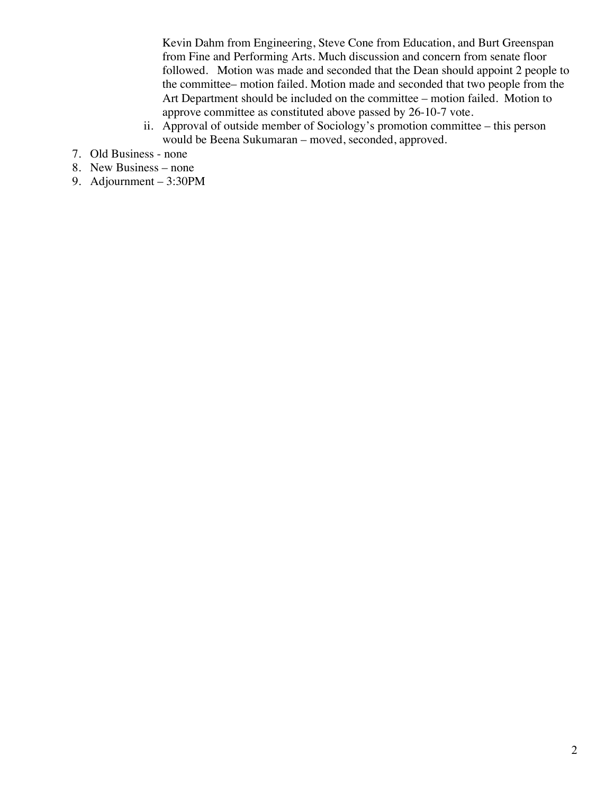Kevin Dahm from Engineering, Steve Cone from Education, and Burt Greenspan from Fine and Performing Arts. Much discussion and concern from senate floor followed. Motion was made and seconded that the Dean should appoint 2 people to the committee– motion failed. Motion made and seconded that two people from the Art Department should be included on the committee – motion failed. Motion to approve committee as constituted above passed by 26-10-7 vote.

- ii. Approval of outside member of Sociology's promotion committee this person would be Beena Sukumaran – moved, seconded, approved.
- 7. Old Business none
- 8. New Business none
- 9. Adjournment 3:30PM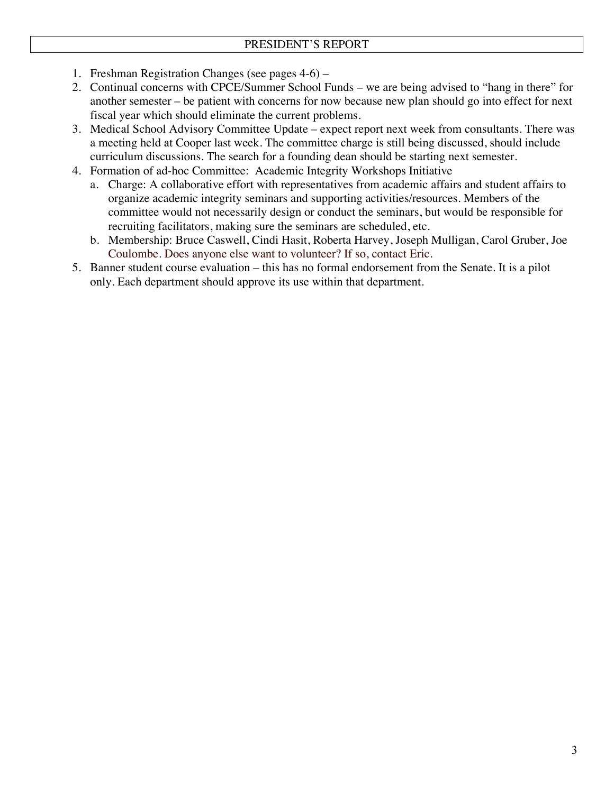- 1. Freshman Registration Changes (see pages 4-6) –
- 2. Continual concerns with CPCE/Summer School Funds we are being advised to "hang in there" for another semester – be patient with concerns for now because new plan should go into effect for next fiscal year which should eliminate the current problems.
- 3. Medical School Advisory Committee Update expect report next week from consultants. There was a meeting held at Cooper last week. The committee charge is still being discussed, should include curriculum discussions. The search for a founding dean should be starting next semester.
- 4. Formation of ad-hoc Committee: Academic Integrity Workshops Initiative
	- a. Charge: A collaborative effort with representatives from academic affairs and student affairs to organize academic integrity seminars and supporting activities/resources. Members of the committee would not necessarily design or conduct the seminars, but would be responsible for recruiting facilitators, making sure the seminars are scheduled, etc.
	- b. Membership: Bruce Caswell, Cindi Hasit, Roberta Harvey, Joseph Mulligan, Carol Gruber, Joe Coulombe. Does anyone else want to volunteer? If so, contact Eric.
- 5. Banner student course evaluation this has no formal endorsement from the Senate. It is a pilot only. Each department should approve its use within that department.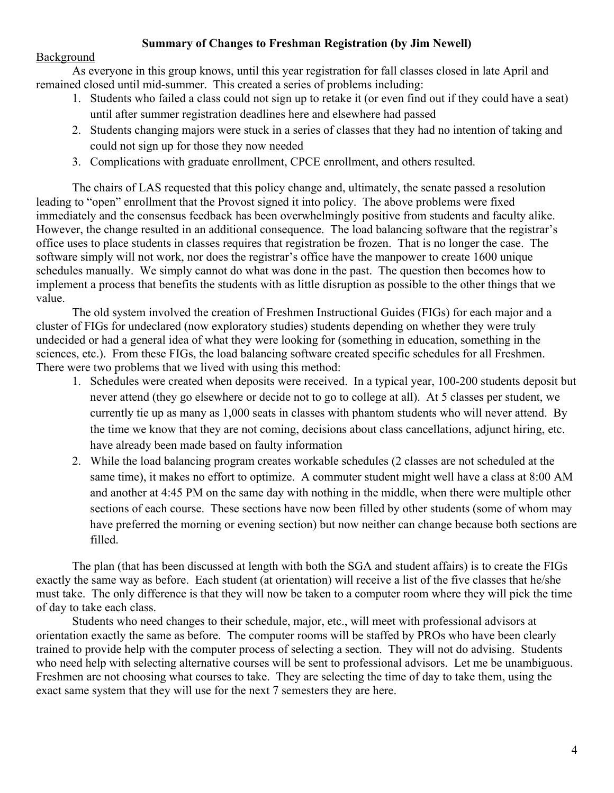### **Summary of Changes to Freshman Registration (by Jim Newell)**

#### Background

As everyone in this group knows, until this year registration for fall classes closed in late April and remained closed until mid-summer. This created a series of problems including:

- 1. Students who failed a class could not sign up to retake it (or even find out if they could have a seat) until after summer registration deadlines here and elsewhere had passed
- 2. Students changing majors were stuck in a series of classes that they had no intention of taking and could not sign up for those they now needed
- 3. Complications with graduate enrollment, CPCE enrollment, and others resulted.

The chairs of LAS requested that this policy change and, ultimately, the senate passed a resolution leading to "open" enrollment that the Provost signed it into policy. The above problems were fixed immediately and the consensus feedback has been overwhelmingly positive from students and faculty alike. However, the change resulted in an additional consequence. The load balancing software that the registrar's office uses to place students in classes requires that registration be frozen. That is no longer the case. The software simply will not work, nor does the registrar's office have the manpower to create 1600 unique schedules manually. We simply cannot do what was done in the past. The question then becomes how to implement a process that benefits the students with as little disruption as possible to the other things that we value.

The old system involved the creation of Freshmen Instructional Guides (FIGs) for each major and a cluster of FIGs for undeclared (now exploratory studies) students depending on whether they were truly undecided or had a general idea of what they were looking for (something in education, something in the sciences, etc.). From these FIGs, the load balancing software created specific schedules for all Freshmen. There were two problems that we lived with using this method:

- 1. Schedules were created when deposits were received. In a typical year, 100-200 students deposit but never attend (they go elsewhere or decide not to go to college at all). At 5 classes per student, we currently tie up as many as 1,000 seats in classes with phantom students who will never attend. By the time we know that they are not coming, decisions about class cancellations, adjunct hiring, etc. have already been made based on faulty information
- 2. While the load balancing program creates workable schedules (2 classes are not scheduled at the same time), it makes no effort to optimize. A commuter student might well have a class at 8:00 AM and another at 4:45 PM on the same day with nothing in the middle, when there were multiple other sections of each course. These sections have now been filled by other students (some of whom may have preferred the morning or evening section) but now neither can change because both sections are filled.

The plan (that has been discussed at length with both the SGA and student affairs) is to create the FIGs exactly the same way as before. Each student (at orientation) will receive a list of the five classes that he/she must take. The only difference is that they will now be taken to a computer room where they will pick the time of day to take each class.

Students who need changes to their schedule, major, etc., will meet with professional advisors at orientation exactly the same as before. The computer rooms will be staffed by PROs who have been clearly trained to provide help with the computer process of selecting a section. They will not do advising. Students who need help with selecting alternative courses will be sent to professional advisors. Let me be unambiguous. Freshmen are not choosing what courses to take. They are selecting the time of day to take them, using the exact same system that they will use for the next 7 semesters they are here.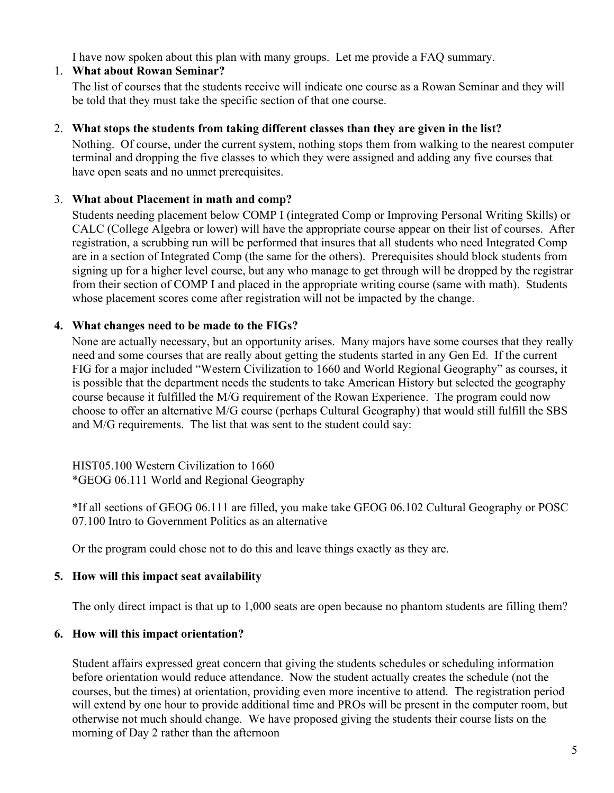I have now spoken about this plan with many groups. Let me provide a FAQ summary.

# 1. **What about Rowan Seminar?**

The list of courses that the students receive will indicate one course as a Rowan Seminar and they will be told that they must take the specific section of that one course.

## 2. **What stops the students from taking different classes than they are given in the list?**

Nothing. Of course, under the current system, nothing stops them from walking to the nearest computer terminal and dropping the five classes to which they were assigned and adding any five courses that have open seats and no unmet prerequisites.

# 3. **What about Placement in math and comp?**

Students needing placement below COMP I (integrated Comp or Improving Personal Writing Skills) or CALC (College Algebra or lower) will have the appropriate course appear on their list of courses. After registration, a scrubbing run will be performed that insures that all students who need Integrated Comp are in a section of Integrated Comp (the same for the others). Prerequisites should block students from signing up for a higher level course, but any who manage to get through will be dropped by the registrar from their section of COMP I and placed in the appropriate writing course (same with math). Students whose placement scores come after registration will not be impacted by the change.

# **4. What changes need to be made to the FIGs?**

None are actually necessary, but an opportunity arises. Many majors have some courses that they really need and some courses that are really about getting the students started in any Gen Ed. If the current FIG for a major included "Western Civilization to 1660 and World Regional Geography" as courses, it is possible that the department needs the students to take American History but selected the geography course because it fulfilled the M/G requirement of the Rowan Experience. The program could now choose to offer an alternative M/G course (perhaps Cultural Geography) that would still fulfill the SBS and M/G requirements. The list that was sent to the student could say:

HIST05.100 Western Civilization to 1660 \*GEOG 06.111 World and Regional Geography

\*If all sections of GEOG 06.111 are filled, you make take GEOG 06.102 Cultural Geography or POSC 07.100 Intro to Government Politics as an alternative

Or the program could chose not to do this and leave things exactly as they are.

# **5. How will this impact seat availability**

The only direct impact is that up to 1,000 seats are open because no phantom students are filling them?

# **6. How will this impact orientation?**

Student affairs expressed great concern that giving the students schedules or scheduling information before orientation would reduce attendance. Now the student actually creates the schedule (not the courses, but the times) at orientation, providing even more incentive to attend. The registration period will extend by one hour to provide additional time and PROs will be present in the computer room, but otherwise not much should change. We have proposed giving the students their course lists on the morning of Day 2 rather than the afternoon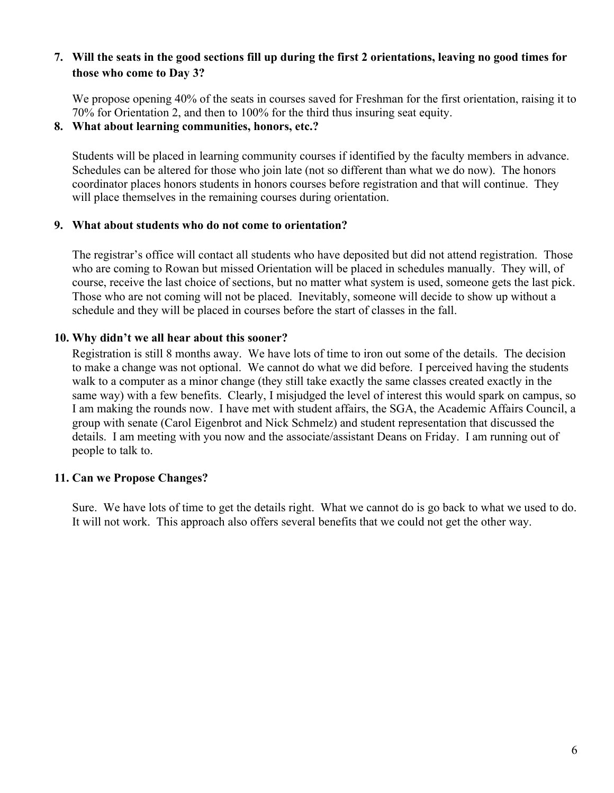## **7. Will the seats in the good sections fill up during the first 2 orientations, leaving no good times for those who come to Day 3?**

We propose opening 40% of the seats in courses saved for Freshman for the first orientation, raising it to 70% for Orientation 2, and then to 100% for the third thus insuring seat equity.

#### **8. What about learning communities, honors, etc.?**

Students will be placed in learning community courses if identified by the faculty members in advance. Schedules can be altered for those who join late (not so different than what we do now). The honors coordinator places honors students in honors courses before registration and that will continue. They will place themselves in the remaining courses during orientation.

#### **9. What about students who do not come to orientation?**

The registrar's office will contact all students who have deposited but did not attend registration. Those who are coming to Rowan but missed Orientation will be placed in schedules manually. They will, of course, receive the last choice of sections, but no matter what system is used, someone gets the last pick. Those who are not coming will not be placed. Inevitably, someone will decide to show up without a schedule and they will be placed in courses before the start of classes in the fall.

### **10. Why didn't we all hear about this sooner?**

Registration is still 8 months away. We have lots of time to iron out some of the details. The decision to make a change was not optional. We cannot do what we did before. I perceived having the students walk to a computer as a minor change (they still take exactly the same classes created exactly in the same way) with a few benefits. Clearly, I misjudged the level of interest this would spark on campus, so I am making the rounds now. I have met with student affairs, the SGA, the Academic Affairs Council, a group with senate (Carol Eigenbrot and Nick Schmelz) and student representation that discussed the details. I am meeting with you now and the associate/assistant Deans on Friday. I am running out of people to talk to.

### **11. Can we Propose Changes?**

Sure. We have lots of time to get the details right. What we cannot do is go back to what we used to do. It will not work. This approach also offers several benefits that we could not get the other way.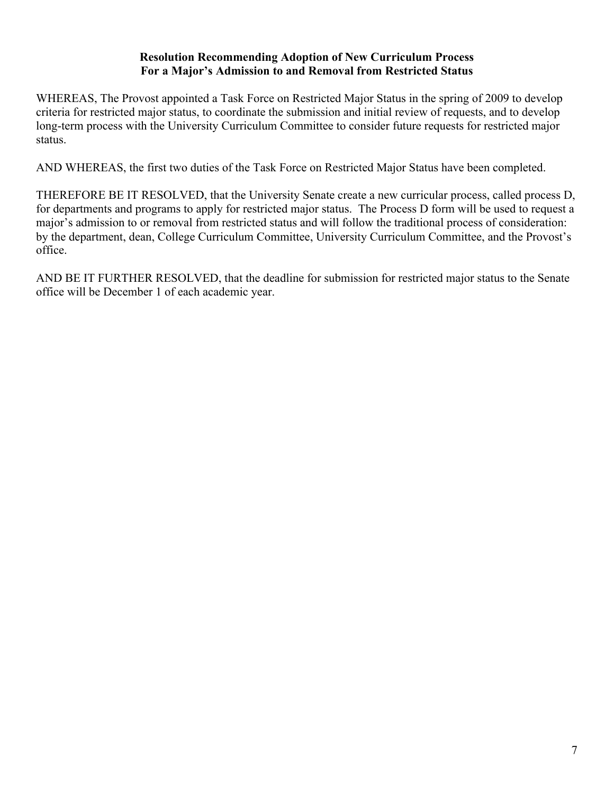### **Resolution Recommending Adoption of New Curriculum Process For a Major's Admission to and Removal from Restricted Status**

WHEREAS, The Provost appointed a Task Force on Restricted Major Status in the spring of 2009 to develop criteria for restricted major status, to coordinate the submission and initial review of requests, and to develop long-term process with the University Curriculum Committee to consider future requests for restricted major status.

AND WHEREAS, the first two duties of the Task Force on Restricted Major Status have been completed.

THEREFORE BE IT RESOLVED, that the University Senate create a new curricular process, called process D, for departments and programs to apply for restricted major status. The Process D form will be used to request a major's admission to or removal from restricted status and will follow the traditional process of consideration: by the department, dean, College Curriculum Committee, University Curriculum Committee, and the Provost's office.

AND BE IT FURTHER RESOLVED, that the deadline for submission for restricted major status to the Senate office will be December 1 of each academic year.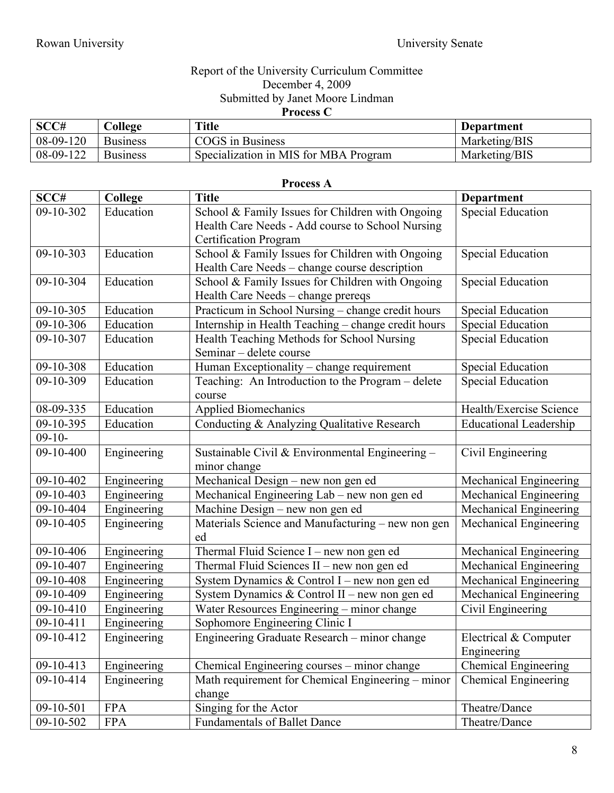### Report of the University Curriculum Committee December 4, 2009 Submitted by Janet Moore Lindman **Process C**

| SCC#        | College         | <b>Title</b>                          | Department    |
|-------------|-----------------|---------------------------------------|---------------|
| $08-09-120$ | <b>Business</b> | COGS in Business                      | Marketing/BIS |
| 08-09-122   | <b>Business</b> | Specialization in MIS for MBA Program | Marketing/BIS |

| <b>Process A</b> |                |                                                                                                                                      |                                      |  |  |
|------------------|----------------|--------------------------------------------------------------------------------------------------------------------------------------|--------------------------------------|--|--|
| SCC#             | <b>College</b> | <b>Title</b>                                                                                                                         | <b>Department</b>                    |  |  |
| 09-10-302        | Education      | School & Family Issues for Children with Ongoing<br>Health Care Needs - Add course to School Nursing<br><b>Certification Program</b> | Special Education                    |  |  |
| 09-10-303        | Education      | School & Family Issues for Children with Ongoing<br>Health Care Needs - change course description                                    | <b>Special Education</b>             |  |  |
| 09-10-304        | Education      | School & Family Issues for Children with Ongoing<br>Health Care Needs - change prereqs                                               | <b>Special Education</b>             |  |  |
| 09-10-305        | Education      | Practicum in School Nursing - change credit hours                                                                                    | Special Education                    |  |  |
| 09-10-306        | Education      | Internship in Health Teaching - change credit hours                                                                                  | <b>Special Education</b>             |  |  |
| 09-10-307        | Education      | Health Teaching Methods for School Nursing<br>Seminar – delete course                                                                | <b>Special Education</b>             |  |  |
| 09-10-308        | Education      | Human Exceptionality - change requirement                                                                                            | <b>Special Education</b>             |  |  |
| 09-10-309        | Education      | Teaching: An Introduction to the Program - delete<br>course                                                                          | <b>Special Education</b>             |  |  |
| 08-09-335        | Education      | <b>Applied Biomechanics</b>                                                                                                          | Health/Exercise Science              |  |  |
| 09-10-395        | Education      | Conducting & Analyzing Qualitative Research                                                                                          | <b>Educational Leadership</b>        |  |  |
| $09-10-$         |                |                                                                                                                                      |                                      |  |  |
| 09-10-400        | Engineering    | Sustainable Civil & Environmental Engineering -<br>minor change                                                                      | Civil Engineering                    |  |  |
| 09-10-402        | Engineering    | Mechanical Design - new non gen ed                                                                                                   | Mechanical Engineering               |  |  |
| 09-10-403        | Engineering    | Mechanical Engineering Lab – new non gen ed                                                                                          | Mechanical Engineering               |  |  |
| 09-10-404        | Engineering    | Machine Design - new non gen ed                                                                                                      | Mechanical Engineering               |  |  |
| 09-10-405        | Engineering    | Materials Science and Manufacturing - new non gen<br>ed                                                                              | Mechanical Engineering               |  |  |
| 09-10-406        | Engineering    | Thermal Fluid Science I - new non gen ed                                                                                             | Mechanical Engineering               |  |  |
| 09-10-407        | Engineering    | Thermal Fluid Sciences II - new non gen ed                                                                                           | Mechanical Engineering               |  |  |
| 09-10-408        | Engineering    | System Dynamics & Control I – new non gen ed                                                                                         | Mechanical Engineering               |  |  |
| 09-10-409        | Engineering    | System Dynamics & Control II - new non gen ed                                                                                        | Mechanical Engineering               |  |  |
| 09-10-410        | Engineering    | Water Resources Engineering - minor change                                                                                           | Civil Engineering                    |  |  |
| 09-10-411        | Engineering    | Sophomore Engineering Clinic I                                                                                                       |                                      |  |  |
| 09-10-412        | Engineering    | Engineering Graduate Research - minor change                                                                                         | Electrical & Computer<br>Engineering |  |  |
| 09-10-413        | Engineering    | Chemical Engineering courses - minor change                                                                                          | <b>Chemical Engineering</b>          |  |  |
| 09-10-414        | Engineering    | Math requirement for Chemical Engineering - minor<br>change                                                                          | Chemical Engineering                 |  |  |
| 09-10-501        | <b>FPA</b>     | Singing for the Actor                                                                                                                | Theatre/Dance                        |  |  |
| 09-10-502        | <b>FPA</b>     | <b>Fundamentals of Ballet Dance</b>                                                                                                  | Theatre/Dance                        |  |  |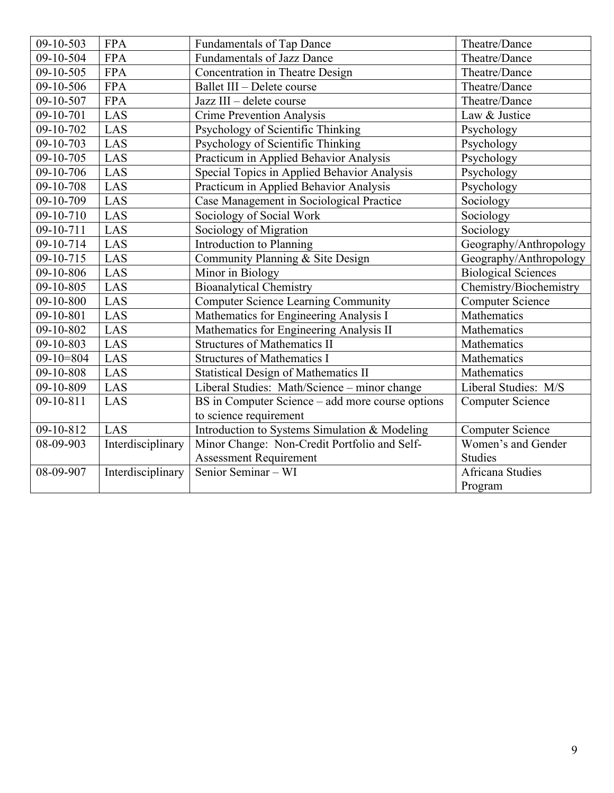| 09-10-503               | <b>FPA</b>        | <b>Fundamentals of Tap Dance</b>                 | Theatre/Dance              |
|-------------------------|-------------------|--------------------------------------------------|----------------------------|
| 09-10-504               | <b>FPA</b>        | <b>Fundamentals of Jazz Dance</b>                | Theatre/Dance              |
| 09-10-505               | <b>FPA</b>        | Concentration in Theatre Design                  | Theatre/Dance              |
| 09-10-506               | <b>FPA</b>        | Ballet III - Delete course                       | Theatre/Dance              |
| 09-10-507               | <b>FPA</b>        | Jazz III - delete course                         | Theatre/Dance              |
| 09-10-701               | LAS               | <b>Crime Prevention Analysis</b>                 | Law & Justice              |
| 09-10-702               | LAS               | Psychology of Scientific Thinking                | Psychology                 |
| $\overline{0}$ 9-10-703 | LAS               | Psychology of Scientific Thinking                | Psychology                 |
| 09-10-705               | LAS               | Practicum in Applied Behavior Analysis           | Psychology                 |
| 09-10-706               | LAS               | Special Topics in Applied Behavior Analysis      | Psychology                 |
| 09-10-708               | LAS               | Practicum in Applied Behavior Analysis           | Psychology                 |
| 09-10-709               | LAS               | Case Management in Sociological Practice         | Sociology                  |
| 09-10-710               | LAS               | Sociology of Social Work                         | Sociology                  |
| 09-10-711               | LAS               | Sociology of Migration                           | Sociology                  |
| 09-10-714               | LAS               | Introduction to Planning                         | Geography/Anthropology     |
| 09-10-715               | LAS               | Community Planning & Site Design                 | Geography/Anthropology     |
| 09-10-806               | LAS               | Minor in Biology                                 | <b>Biological Sciences</b> |
| 09-10-805               | LAS               | <b>Bioanalytical Chemistry</b>                   | Chemistry/Biochemistry     |
| 09-10-800               | LAS               | <b>Computer Science Learning Community</b>       | <b>Computer Science</b>    |
| $\overline{0}$ 9-10-801 | LAS               | Mathematics for Engineering Analysis I           | Mathematics                |
| 09-10-802               | LAS               | Mathematics for Engineering Analysis II          | Mathematics                |
| 09-10-803               | LAS               | <b>Structures of Mathematics II</b>              | Mathematics                |
| $09-10=804$             | LAS               | <b>Structures of Mathematics I</b>               | Mathematics                |
| 09-10-808               | LAS               | <b>Statistical Design of Mathematics II</b>      | Mathematics                |
| 09-10-809               | LAS               | Liberal Studies: Math/Science - minor change     | Liberal Studies: M/S       |
| 09-10-811               | LAS               | BS in Computer Science – add more course options | <b>Computer Science</b>    |
|                         |                   | to science requirement                           |                            |
| 09-10-812               | LAS               | Introduction to Systems Simulation & Modeling    | <b>Computer Science</b>    |
| 08-09-903               | Interdisciplinary | Minor Change: Non-Credit Portfolio and Self-     | Women's and Gender         |
|                         |                   | <b>Assessment Requirement</b>                    | Studies                    |
| 08-09-907               | Interdisciplinary | Senior Seminar - WI                              | Africana Studies           |
|                         |                   |                                                  | Program                    |